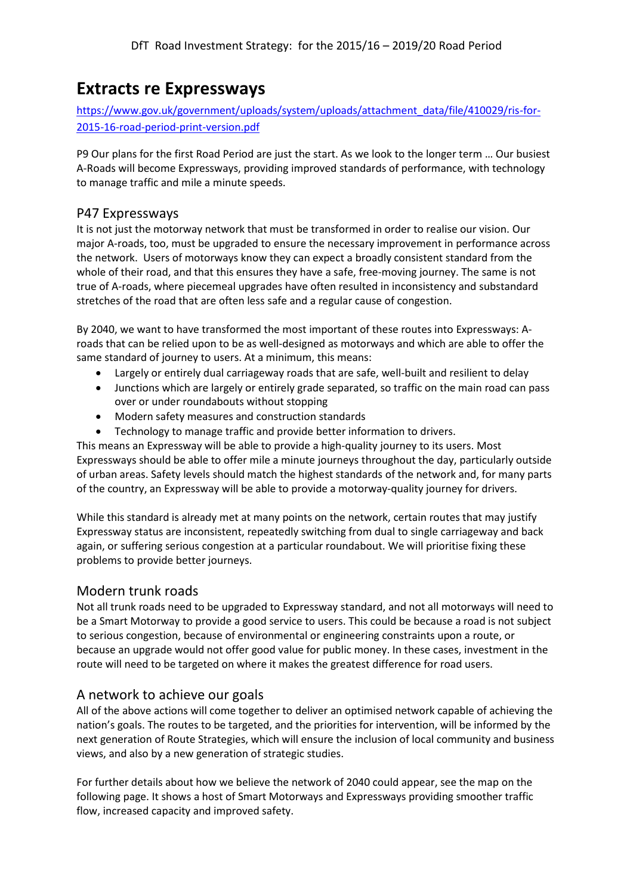## **Extracts re Expressways**

[https://www.gov.uk/government/uploads/system/uploads/attachment\\_data/file/410029/ris-for-](https://www.gov.uk/government/uploads/system/uploads/attachment_data/file/410029/ris-for-2015-16-road-period-print-version.pdf)[2015-16-road-period-print-version.pdf](https://www.gov.uk/government/uploads/system/uploads/attachment_data/file/410029/ris-for-2015-16-road-period-print-version.pdf)

P9 Our plans for the first Road Period are just the start. As we look to the longer term … Our busiest A-Roads will become Expressways, providing improved standards of performance, with technology to manage traffic and mile a minute speeds.

## P47 Expressways

It is not just the motorway network that must be transformed in order to realise our vision. Our major A-roads, too, must be upgraded to ensure the necessary improvement in performance across the network. Users of motorways know they can expect a broadly consistent standard from the whole of their road, and that this ensures they have a safe, free-moving journey. The same is not true of A-roads, where piecemeal upgrades have often resulted in inconsistency and substandard stretches of the road that are often less safe and a regular cause of congestion.

By 2040, we want to have transformed the most important of these routes into Expressways: Aroads that can be relied upon to be as well-designed as motorways and which are able to offer the same standard of journey to users. At a minimum, this means:

- Largely or entirely dual carriageway roads that are safe, well-built and resilient to delay
- Junctions which are largely or entirely grade separated, so traffic on the main road can pass over or under roundabouts without stopping
- Modern safety measures and construction standards
- Technology to manage traffic and provide better information to drivers.

This means an Expressway will be able to provide a high-quality journey to its users. Most Expressways should be able to offer mile a minute journeys throughout the day, particularly outside of urban areas. Safety levels should match the highest standards of the network and, for many parts of the country, an Expressway will be able to provide a motorway-quality journey for drivers.

While this standard is already met at many points on the network, certain routes that may justify Expressway status are inconsistent, repeatedly switching from dual to single carriageway and back again, or suffering serious congestion at a particular roundabout. We will prioritise fixing these problems to provide better journeys.

## Modern trunk roads

Not all trunk roads need to be upgraded to Expressway standard, and not all motorways will need to be a Smart Motorway to provide a good service to users. This could be because a road is not subject to serious congestion, because of environmental or engineering constraints upon a route, or because an upgrade would not offer good value for public money. In these cases, investment in the route will need to be targeted on where it makes the greatest difference for road users.

## A network to achieve our goals

All of the above actions will come together to deliver an optimised network capable of achieving the nation's goals. The routes to be targeted, and the priorities for intervention, will be informed by the next generation of Route Strategies, which will ensure the inclusion of local community and business views, and also by a new generation of strategic studies.

For further details about how we believe the network of 2040 could appear, see the map on the following page. It shows a host of Smart Motorways and Expressways providing smoother traffic flow, increased capacity and improved safety.